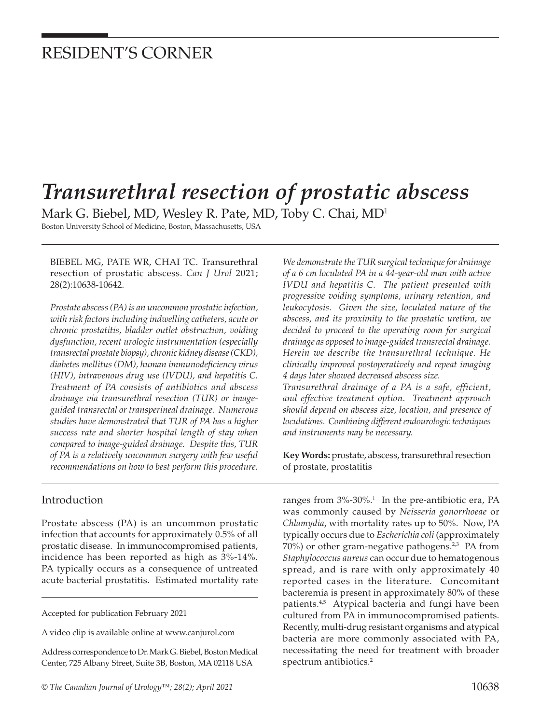# RESIDENT'S CORNER

# *Transurethral resection of prostatic abscess*

Mark G. Biebel, MD, Wesley R. Pate, MD, Toby C. Chai, MD1

Boston University School of Medicine, Boston, Massachusetts, USA

BIEBEL MG, PATE WR, CHAI TC. Transurethral resection of prostatic abscess. *Can J Urol* 2021; 28(2):10638-10642.

*Prostate abscess (PA) is an uncommon prostatic infection, with risk factors including indwelling catheters, acute or chronic prostatitis, bladder outlet obstruction, voiding dysfunction, recent urologic instrumentation (especially transrectal prostate biopsy), chronic kidney disease (CKD), diabetes mellitus (DM), human immunodeficiency virus (HIV), intravenous drug use (IVDU), and hepatitis C. Treatment of PA consists of antibiotics and abscess drainage via transurethral resection (TUR) or imageguided transrectal or transperineal drainage. Numerous studies have demonstrated that TUR of PA has a higher success rate and shorter hospital length of stay when compared to image-guided drainage. Despite this, TUR of PA is a relatively uncommon surgery with few useful recommendations on how to best perform this procedure.* 

#### Introduction

Prostate abscess (PA) is an uncommon prostatic infection that accounts for approximately 0.5% of all prostatic disease. In immunocompromised patients, incidence has been reported as high as 3%-14%. PA typically occurs as a consequence of untreated acute bacterial prostatitis. Estimated mortality rate

Accepted for publication February 2021

A video clip is available online at www.canjurol.com

Address correspondence to Dr. Mark G. Biebel, Boston Medical Center, 725 Albany Street, Suite 3B, Boston, MA 02118 USA

*We demonstrate the TUR surgical technique for drainage of a 6 cm loculated PA in a 44-year-old man with active IVDU and hepatitis C. The patient presented with progressive voiding symptoms, urinary retention, and leukocytosis. Given the size, loculated nature of the abscess, and its proximity to the prostatic urethra, we decided to proceed to the operating room for surgical drainage as opposed to image-guided transrectal drainage. Herein we describe the transurethral technique. He clinically improved postoperatively and repeat imaging 4 days later showed decreased abscess size. Transurethral drainage of a PA is a safe, efficient,* 

*and effective treatment option. Treatment approach should depend on abscess size, location, and presence of loculations. Combining different endourologic techniques and instruments may be necessary.* 

**Key Words:** prostate, abscess, transurethral resection of prostate, prostatitis

ranges from  $3\%$ - $30\%$ .<sup>1</sup> In the pre-antibiotic era, PA was commonly caused by *Neisseria gonorrhoeae* or *Chlamydia*, with mortality rates up to 50%. Now, PA typically occurs due to *Escherichia coli* (approximately 70%) or other gram-negative pathogens.<sup>2,3</sup> PA from *Staphylococcus aureus* can occur due to hematogenous spread, and is rare with only approximately 40 reported cases in the literature. Concomitant bacteremia is present in approximately 80% of these patients.<sup>4,5</sup> Atypical bacteria and fungi have been cultured from PA in immunocompromised patients. Recently, multi-drug resistant organisms and atypical bacteria are more commonly associated with PA, necessitating the need for treatment with broader spectrum antibiotics.<sup>2</sup>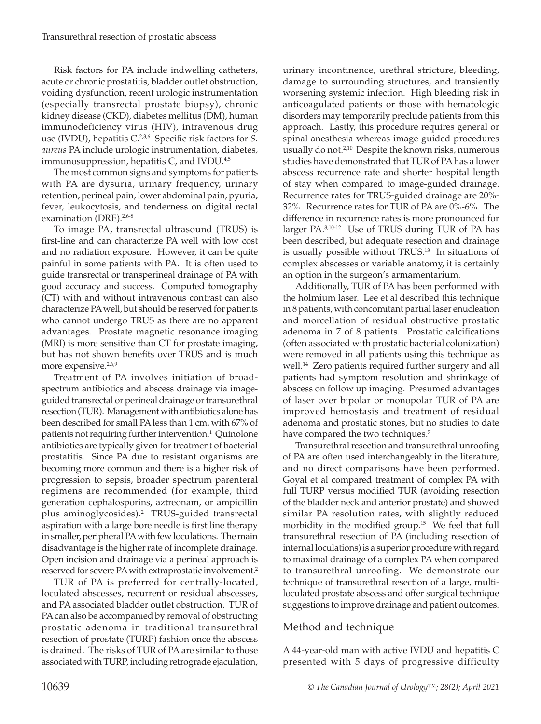Risk factors for PA include indwelling catheters, acute or chronic prostatitis, bladder outlet obstruction, voiding dysfunction, recent urologic instrumentation (especially transrectal prostate biopsy), chronic kidney disease (CKD), diabetes mellitus (DM), human immunodeficiency virus (HIV), intravenous drug use (IVDU), hepatitis C.<sup>2,3,6</sup> Specific risk factors for *S*. *aureus* PA include urologic instrumentation, diabetes, immunosuppression, hepatitis  $C$ , and IVDU. $4,5$ 

The most common signs and symptoms for patients with PA are dysuria, urinary frequency, urinary retention, perineal pain, lower abdominal pain, pyuria, fever, leukocytosis, and tenderness on digital rectal examination (DRE).<sup>2,6-8</sup>

To image PA, transrectal ultrasound (TRUS) is first-line and can characterize PA well with low cost and no radiation exposure. However, it can be quite painful in some patients with PA. It is often used to guide transrectal or transperineal drainage of PA with good accuracy and success. Computed tomography (CT) with and without intravenous contrast can also characterize PA well, but should be reserved for patients who cannot undergo TRUS as there are no apparent advantages. Prostate magnetic resonance imaging (MRI) is more sensitive than CT for prostate imaging, but has not shown benefits over TRUS and is much more expensive.<sup>2,6,9</sup>

Treatment of PA involves initiation of broadspectrum antibiotics and abscess drainage via imageguided transrectal or perineal drainage or transurethral resection (TUR). Management with antibiotics alone has been described for small PA less than 1 cm, with 67% of patients not requiring further intervention.<sup>1</sup> Quinolone antibiotics are typically given for treatment of bacterial prostatitis. Since PA due to resistant organisms are becoming more common and there is a higher risk of progression to sepsis, broader spectrum parenteral regimens are recommended (for example, third generation cephalosporins, aztreonam, or ampicillin plus aminoglycosides).2 TRUS-guided transrectal aspiration with a large bore needle is first line therapy in smaller, peripheral PA with few loculations. The main disadvantage is the higher rate of incomplete drainage. Open incision and drainage via a perineal approach is reserved for severe PA with extraprostatic involvement.2

TUR of PA is preferred for centrally-located, loculated abscesses, recurrent or residual abscesses, and PA associated bladder outlet obstruction. TUR of PA can also be accompanied by removal of obstructing prostatic adenoma in traditional transurethral resection of prostate (TURP) fashion once the abscess is drained. The risks of TUR of PA are similar to those associated with TURP, including retrograde ejaculation,

urinary incontinence, urethral stricture, bleeding, damage to surrounding structures, and transiently worsening systemic infection. High bleeding risk in anticoagulated patients or those with hematologic disorders may temporarily preclude patients from this approach. Lastly, this procedure requires general or spinal anesthesia whereas image-guided procedures usually do not.2,10 Despite the known risks, numerous studies have demonstrated that TUR of PA has a lower abscess recurrence rate and shorter hospital length of stay when compared to image-guided drainage. Recurrence rates for TRUS-guided drainage are 20%- 32%. Recurrence rates for TUR of PA are 0%-6%. The difference in recurrence rates is more pronounced for larger PA.8,10-12 Use of TRUS during TUR of PA has been described, but adequate resection and drainage is usually possible without TRUS.13 In situations of complex abscesses or variable anatomy, it is certainly an option in the surgeon's armamentarium.

Additionally, TUR of PA has been performed with the holmium laser. Lee et al described this technique in 8 patients, with concomitant partial laser enucleation and morcellation of residual obstructive prostatic adenoma in 7 of 8 patients. Prostatic calcifications (often associated with prostatic bacterial colonization) were removed in all patients using this technique as well.<sup>14</sup> Zero patients required further surgery and all patients had symptom resolution and shrinkage of abscess on follow up imaging. Presumed advantages of laser over bipolar or monopolar TUR of PA are improved hemostasis and treatment of residual adenoma and prostatic stones, but no studies to date have compared the two techniques.<sup>7</sup>

Transurethral resection and transurethral unroofing of PA are often used interchangeably in the literature, and no direct comparisons have been performed. Goyal et al compared treatment of complex PA with full TURP versus modified TUR (avoiding resection of the bladder neck and anterior prostate) and showed similar PA resolution rates, with slightly reduced morbidity in the modified group.<sup>15</sup> We feel that full transurethral resection of PA (including resection of internal loculations) is a superior procedure with regard to maximal drainage of a complex PA when compared to transurethral unroofing. We demonstrate our technique of transurethral resection of a large, multiloculated prostate abscess and offer surgical technique suggestions to improve drainage and patient outcomes.

## Method and technique

A 44-year-old man with active IVDU and hepatitis C presented with 5 days of progressive difficulty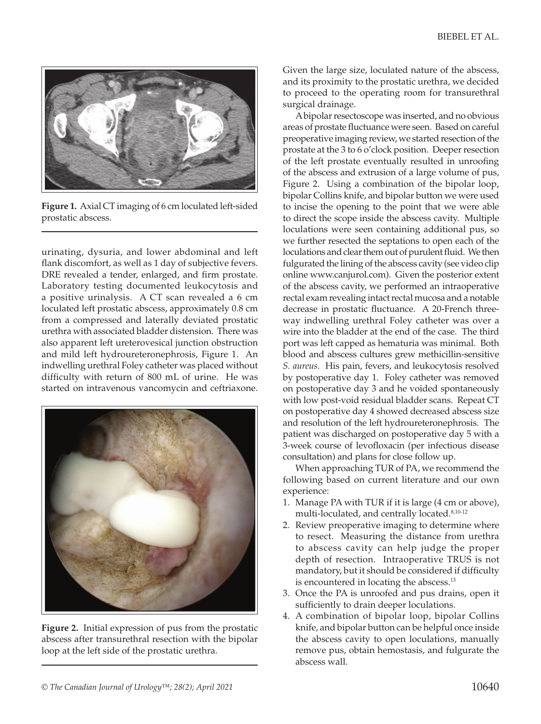

**Figure 1.** Axial CT imaging of 6 cm loculated left-sided prostatic abscess.

urinating, dysuria, and lower abdominal and left flank discomfort, as well as 1 day of subjective fevers. DRE revealed a tender, enlarged, and firm prostate. Laboratory testing documented leukocytosis and a positive urinalysis. A CT scan revealed a 6 cm loculated left prostatic abscess, approximately 0.8 cm from a compressed and laterally deviated prostatic urethra with associated bladder distension. There was also apparent left ureterovesical junction obstruction and mild left hydroureteronephrosis, Figure 1. An indwelling urethral Foley catheter was placed without difficulty with return of 800 mL of urine. He was started on intravenous vancomycin and ceftriaxone.



**Figure 2.** Initial expression of pus from the prostatic abscess after transurethral resection with the bipolar loop at the left side of the prostatic urethra.

Given the large size, loculated nature of the abscess, and its proximity to the prostatic urethra, we decided to proceed to the operating room for transurethral surgical drainage.

A bipolar resectoscope was inserted, and no obvious areas of prostate fluctuance were seen. Based on careful preoperative imaging review, we started resection of the prostate at the 3 to 6 o'clock position. Deeper resection of the left prostate eventually resulted in unroofing of the abscess and extrusion of a large volume of pus, Figure 2. Using a combination of the bipolar loop, bipolar Collins knife, and bipolar button we were used to incise the opening to the point that we were able to direct the scope inside the abscess cavity. Multiple loculations were seen containing additional pus, so we further resected the septations to open each of the loculations and clear them out of purulent fluid. We then fulgurated the lining of the abscess cavity (see video clip online www.canjurol.com). Given the posterior extent of the abscess cavity, we performed an intraoperative rectal exam revealing intact rectal mucosa and a notable decrease in prostatic fluctuance. A 20-French threeway indwelling urethral Foley catheter was over a wire into the bladder at the end of the case. The third port was left capped as hematuria was minimal. Both blood and abscess cultures grew methicillin-sensitive *S. aureus*. His pain, fevers, and leukocytosis resolved by postoperative day 1. Foley catheter was removed on postoperative day 3 and he voided spontaneously with low post-void residual bladder scans. Repeat CT on postoperative day 4 showed decreased abscess size and resolution of the left hydroureteronephrosis. The patient was discharged on postoperative day 5 with a 3-week course of levofloxacin (per infectious disease consultation) and plans for close follow up.

When approaching TUR of PA, we recommend the following based on current literature and our own experience:

- 1. Manage PA with TUR if it is large (4 cm or above), multi-loculated, and centrally located.<sup>8,10-12</sup>
- 2. Review preoperative imaging to determine where to resect. Measuring the distance from urethra to abscess cavity can help judge the proper depth of resection. Intraoperative TRUS is not mandatory, but it should be considered if difficulty is encountered in locating the abscess.<sup>13</sup>
- 3. Once the PA is unroofed and pus drains, open it sufficiently to drain deeper loculations.
- 4. A combination of bipolar loop, bipolar Collins knife, and bipolar button can be helpful once inside the abscess cavity to open loculations, manually remove pus, obtain hemostasis, and fulgurate the abscess wall.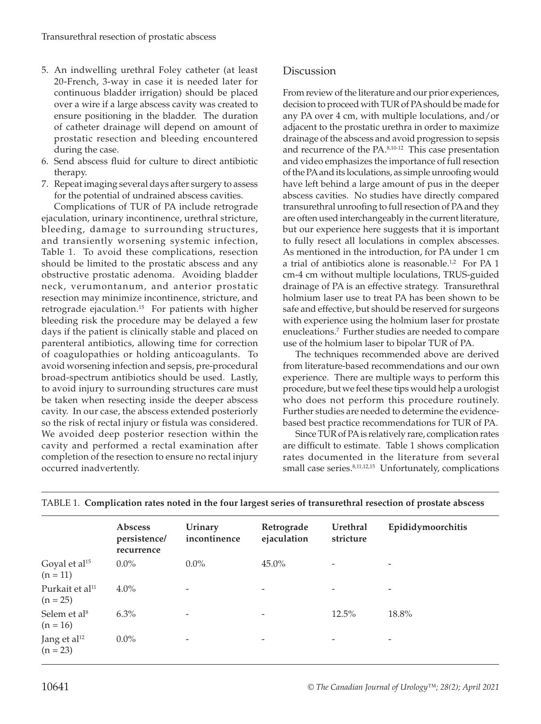- 5. An indwelling urethral Foley catheter (at least 20-French, 3-way in case it is needed later for continuous bladder irrigation) should be placed over a wire if a large abscess cavity was created to ensure positioning in the bladder. The duration of catheter drainage will depend on amount of prostatic resection and bleeding encountered during the case.
- 6. Send abscess fluid for culture to direct antibiotic therapy.
- 7. Repeat imaging several days after surgery to assess for the potential of undrained abscess cavities.

Complications of TUR of PA include retrograde ejaculation, urinary incontinence, urethral stricture, bleeding, damage to surrounding structures, and transiently worsening systemic infection, Table 1. To avoid these complications, resection should be limited to the prostatic abscess and any obstructive prostatic adenoma. Avoiding bladder neck, verumontanum, and anterior prostatic resection may minimize incontinence, stricture, and retrograde ejaculation.<sup>15</sup> For patients with higher bleeding risk the procedure may be delayed a few days if the patient is clinically stable and placed on parenteral antibiotics, allowing time for correction of coagulopathies or holding anticoagulants. To avoid worsening infection and sepsis, pre-procedural broad-spectrum antibiotics should be used. Lastly, to avoid injury to surrounding structures care must be taken when resecting inside the deeper abscess cavity. In our case, the abscess extended posteriorly so the risk of rectal injury or fistula was considered. We avoided deep posterior resection within the cavity and performed a rectal examination after completion of the resection to ensure no rectal injury occurred inadvertently.

### Discussion

From review of the literature and our prior experiences, decision to proceed with TUR of PA should be made for any PA over 4 cm, with multiple loculations, and/or adjacent to the prostatic urethra in order to maximize drainage of the abscess and avoid progression to sepsis and recurrence of the PA.8,10-12 This case presentation and video emphasizes the importance of full resection of the PA and its loculations, as simple unroofing would have left behind a large amount of pus in the deeper abscess cavities. No studies have directly compared transurethral unroofing to full resection of PA and they are often used interchangeably in the current literature, but our experience here suggests that it is important to fully resect all loculations in complex abscesses. As mentioned in the introduction, for PA under 1 cm a trial of antibiotics alone is reasonable.<sup>1,2</sup> For PA 1 cm-4 cm without multiple loculations, TRUS-guided drainage of PA is an effective strategy. Transurethral holmium laser use to treat PA has been shown to be safe and effective, but should be reserved for surgeons with experience using the holmium laser for prostate enucleations.7 Further studies are needed to compare use of the holmium laser to bipolar TUR of PA.

The techniques recommended above are derived from literature-based recommendations and our own experience. There are multiple ways to perform this procedure, but we feel these tips would help a urologist who does not perform this procedure routinely. Further studies are needed to determine the evidencebased best practice recommendations for TUR of PA.

Since TUR of PA is relatively rare, complication rates are difficult to estimate. Table 1 shows complication rates documented in the literature from several small case series.<sup>8,11,12,15</sup> Unfortunately, complications

| Epididymoorchitis |
|-------------------|
|                   |
|                   |
|                   |
|                   |
|                   |
|                   |

|  |  | TABLE 1. Complication rates noted in the four largest series of transurethral resection of prostate abscess |
|--|--|-------------------------------------------------------------------------------------------------------------|